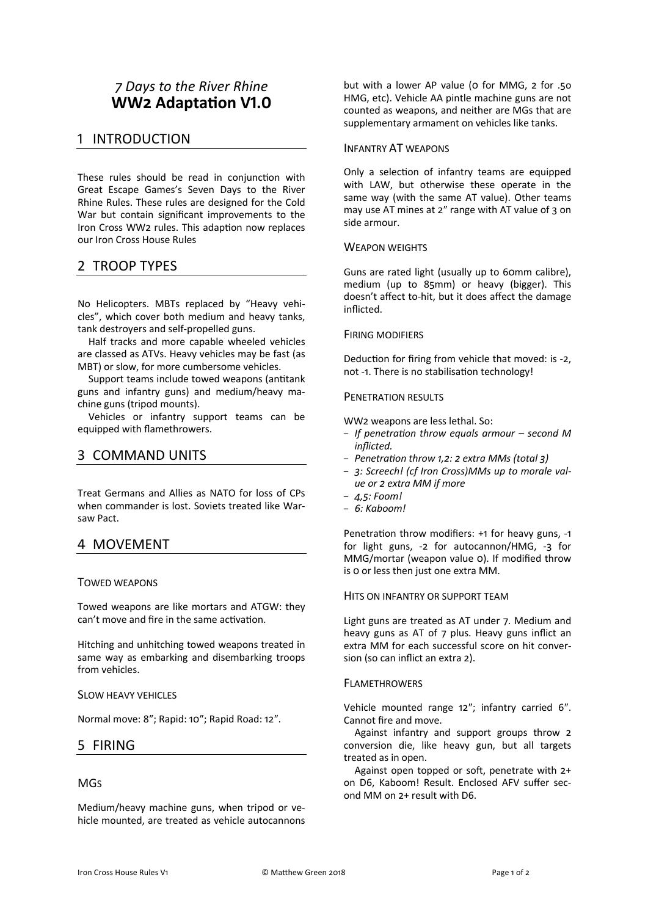# *! Days to the River Rhine* **WW2 Adaptation V1.0**

## 1 INTRODUCTION

These rules should be read in conjunction with Great Escape Games's Seven Days to the River Rhine Rules. These rules are designed for the Cold War but contain significant improvements to the Iron Cross WW2 rules. This adaption now replaces our Iron Cross House Rules

## 2 TROOP TYPES

No Helicopters. MBTs replaced by "Heavy vehicles", which cover both medium and heavy tanks, tank destroyers and self-propelled guns.

Half tracks and more capable wheeled vehicles are classed as ATVs. Heavy vehicles may be fast (as MBT) or slow, for more cumbersome vehicles.

Support teams include towed weapons (antitank guns and infantry guns) and medium/heavy machine guns (tripod mounts).

Vehicles or infantry support teams can be equipped with flamethrowers.

## 3 COMMAND UNITS

Treat Germans and Allies as NATO for loss of CPs when commander is lost. Soviets treated like Warsaw Pact.

### 4 MOVEMENT

### TOWED WEAPONS

Towed weapons are like mortars and ATGW: they can't move and fire in the same activation.

Hitching and unhitching towed weapons treated in same way as embarking and disembarking troops from vehicles.

### SLOW HEAVY VEHICLES

Normal move: 8"; Rapid: 10"; Rapid Road: 12".

### 5 FIRING

### **MG<sub>S</sub>**

Medium/heavy machine guns, when tripod or vehicle mounted, are treated as vehicle autocannons but with a lower AP value ( $o$  for MMG,  $2$  for .50 HMG, etc). Vehicle AA pintle machine guns are not counted as weapons, and neither are MGs that are supplementary armament on vehicles like tanks.

### INFANTRY AT WEAPONS

Only a selection of infantry teams are equipped with LAW, but otherwise these operate in the same way (with the same AT value). Other teams may use AT mines at  $2''$  range with AT value of  $3$  on side armour.

### WEAPON WEIGHTS

Guns are rated light (usually up to 60mm calibre), medium (up to 85mm) or heavy (bigger). This doesn't affect to-hit, but it does affect the damage inflicted.

### FIRING MODIFIERS

Deduction for firing from vehicle that moved: is -2, not -1. There is no stabilisation technology!

### PENETRATION RESULTS

WW2 weapons are less lethal. So:

- *If penetra\*on throw equals armour – second M inflicted.*
- *Penetra\*on throw ;,=: = extra MMs (total A)*
- *A: Screech! (cf Iron Cross)MMs up to morale value* or 2 extra MM if more
- *H,I: Foom!*
- *K: Kaboom!*

Penetration throw modifiers: +1 for heavy guns, -1 for light guns,  $-2$  for autocannon/HMG,  $-3$  for MMG/mortar (weapon value 0). If modified throw is 0 or less then just one extra MM.

### HITS ON INFANTRY OR SUPPORT TEAM

Light guns are treated as AT under 7. Medium and heavy guns as AT of 7 plus. Heavy guns inflict an extra MM for each successful score on hit conversion (so can inflict an extra 2).

### FLAMETHROWERS

Vehicle mounted range 12"; infantry carried 6". Cannot fire and move.

Against infantry and support groups throw 2 conversion die, like heavy gun, but all targets treated as in open.

Against open topped or soft, penetrate with 2+ on D6, Kaboom! Result. Enclosed AFV suffer second MM on  $2+$  result with D6